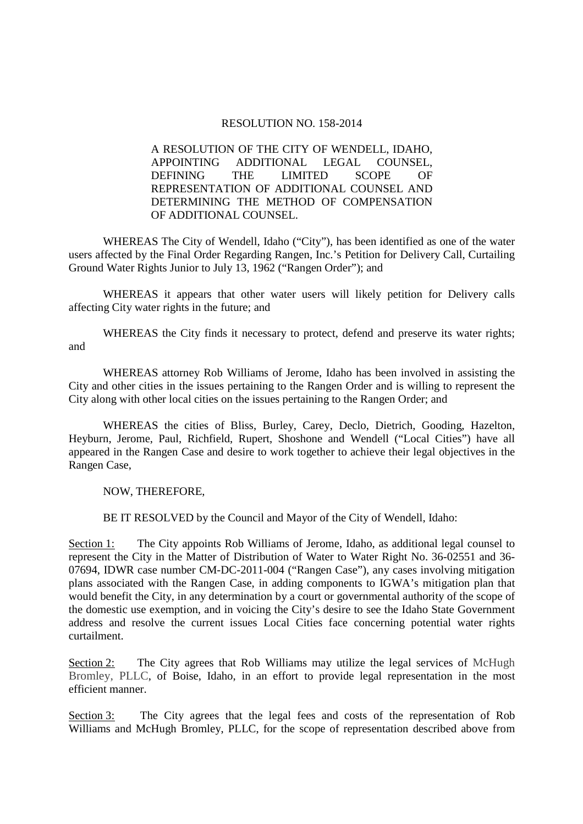## RESOLUTION NO. 158-2014

A RESOLUTION OF THE CITY OF WENDELL, IDAHO, APPOINTING ADDITIONAL LEGAL COUNSEL, DEFINING THE LIMITED SCOPE OF REPRESENTATION OF ADDITIONAL COUNSEL AND DETERMINING THE METHOD OF COMPENSATION OF ADDITIONAL COUNSEL.

 WHEREAS The City of Wendell, Idaho ("City"), has been identified as one of the water users affected by the Final Order Regarding Rangen, Inc.'s Petition for Delivery Call, Curtailing Ground Water Rights Junior to July 13, 1962 ("Rangen Order"); and

WHEREAS it appears that other water users will likely petition for Delivery calls affecting City water rights in the future; and

 WHEREAS the City finds it necessary to protect, defend and preserve its water rights; and

 WHEREAS attorney Rob Williams of Jerome, Idaho has been involved in assisting the City and other cities in the issues pertaining to the Rangen Order and is willing to represent the City along with other local cities on the issues pertaining to the Rangen Order; and

 WHEREAS the cities of Bliss, Burley, Carey, Declo, Dietrich, Gooding, Hazelton, Heyburn, Jerome, Paul, Richfield, Rupert, Shoshone and Wendell ("Local Cities") have all appeared in the Rangen Case and desire to work together to achieve their legal objectives in the Rangen Case,

NOW, THEREFORE,

BE IT RESOLVED by the Council and Mayor of the City of Wendell, Idaho:

Section 1: The City appoints Rob Williams of Jerome, Idaho, as additional legal counsel to represent the City in the Matter of Distribution of Water to Water Right No. 36-02551 and 36- 07694, IDWR case number CM-DC-2011-004 ("Rangen Case"), any cases involving mitigation plans associated with the Rangen Case, in adding components to IGWA's mitigation plan that would benefit the City, in any determination by a court or governmental authority of the scope of the domestic use exemption, and in voicing the City's desire to see the Idaho State Government address and resolve the current issues Local Cities face concerning potential water rights curtailment.

Section 2: The City agrees that Rob Williams may utilize the legal services of McHugh Bromley, PLLC, of Boise, Idaho, in an effort to provide legal representation in the most efficient manner.

Section 3: The City agrees that the legal fees and costs of the representation of Rob Williams and McHugh Bromley, PLLC, for the scope of representation described above from